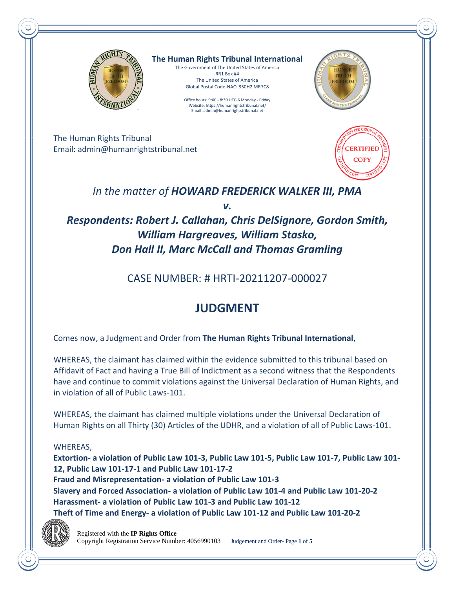

**The Human Rights Tribunal International** The Government of The United States of America

RR1 Box #4 The United States of America Global Postal Code-NAC: 850H2 MR7C8

Office hours: 9:00 - 8:30 UTC-6 Monday - Friday Website: https://humanrightstribunal.net/ Email: admin@humanrightstribunal.net



The Human Rights Tribunal Email: admin@humanrightstribunal.net



*In the matter of HOWARD FREDERICK WALKER III, PMA*

*v.*

*Respondents: Robert J. Callahan, Chris DelSignore, Gordon Smith, William Hargreaves, William Stasko, Don Hall II, Marc McCall and Thomas Gramling*

CASE NUMBER: # HRTI-20211207-000027

## **JUDGMENT**

Comes now, a Judgment and Order from **The Human Rights Tribunal International**,

WHEREAS, the claimant has claimed within the evidence submitted to this tribunal based on Affidavit of Fact and having a True Bill of Indictment as a second witness that the Respondents have and continue to commit violations against the Universal Declaration of Human Rights, and in violation of all of Public Laws-101.

WHEREAS, the claimant has claimed multiple violations under the Universal Declaration of Human Rights on all Thirty (30) Articles of the UDHR, and a violation of all of Public Laws-101.

### WHEREAS,

**Extortion- a violation of Public Law 101-3, Public Law 101-5, Public Law 101-7, Public Law 101- 12, Public Law 101-17-1 and Public Law 101-17-2 Fraud and Misrepresentation- a violation of Public Law 101-3 Slavery and Forced Association- a violation of Public Law 101-4 and Public Law 101-20-2 Harassment- a violation of Public Law 101-3 and Public Law 101-12 Theft of Time and Energy- a violation of Public Law 101-12 and Public Law 101-20-2** 



 Registered with the **IP Rights Office** Copyright Registration Service Number: 4056990103 Judgement and Order- Page **1** of **5**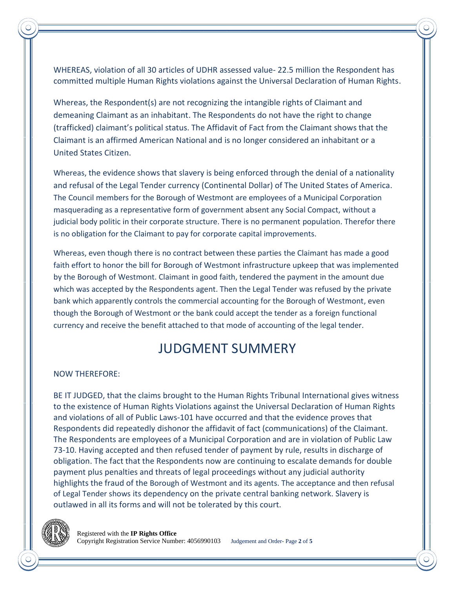WHEREAS, violation of all 30 articles of UDHR assessed value- 22.5 million the Respondent has committed multiple Human Rights violations against the Universal Declaration of Human Rights.

Whereas, the Respondent(s) are not recognizing the intangible rights of Claimant and demeaning Claimant as an inhabitant. The Respondents do not have the right to change (trafficked) claimant's political status. The Affidavit of Fact from the Claimant shows that the Claimant is an affirmed American National and is no longer considered an inhabitant or a United States Citizen.

Whereas, the evidence shows that slavery is being enforced through the denial of a nationality and refusal of the Legal Tender currency (Continental Dollar) of The United States of America. The Council members for the Borough of Westmont are employees of a Municipal Corporation masquerading as a representative form of government absent any Social Compact, without a judicial body politic in their corporate structure. There is no permanent population. Therefor there is no obligation for the Claimant to pay for corporate capital improvements.

Whereas, even though there is no contract between these parties the Claimant has made a good faith effort to honor the bill for Borough of Westmont infrastructure upkeep that was implemented by the Borough of Westmont. Claimant in good faith, tendered the payment in the amount due which was accepted by the Respondents agent. Then the Legal Tender was refused by the private bank which apparently controls the commercial accounting for the Borough of Westmont, even though the Borough of Westmont or the bank could accept the tender as a foreign functional currency and receive the benefit attached to that mode of accounting of the legal tender.

## JUDGMENT SUMMERY

### NOW THEREFORE:

BE IT JUDGED, that the claims brought to the Human Rights Tribunal International gives witness to the existence of Human Rights Violations against the Universal Declaration of Human Rights and violations of all of Public Laws-101 have occurred and that the evidence proves that Respondents did repeatedly dishonor the affidavit of fact (communications) of the Claimant. The Respondents are employees of a Municipal Corporation and are in violation of Public Law 73-10. Having accepted and then refused tender of payment by rule, results in discharge of obligation. The fact that the Respondents now are continuing to escalate demands for double payment plus penalties and threats of legal proceedings without any judicial authority highlights the fraud of the Borough of Westmont and its agents. The acceptance and then refusal of Legal Tender shows its dependency on the private central banking network. Slavery is outlawed in all its forms and will not be tolerated by this court.

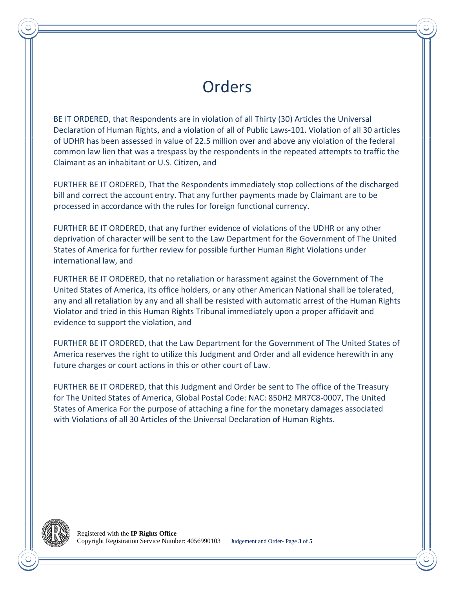# **Orders**

BE IT ORDERED, that Respondents are in violation of all Thirty (30) Articles the Universal Declaration of Human Rights, and a violation of all of Public Laws-101. Violation of all 30 articles of UDHR has been assessed in value of 22.5 million over and above any violation of the federal common law lien that was a trespass by the respondents in the repeated attempts to traffic the Claimant as an inhabitant or U.S. Citizen, and

FURTHER BE IT ORDERED, That the Respondents immediately stop collections of the discharged bill and correct the account entry. That any further payments made by Claimant are to be processed in accordance with the rules for foreign functional currency.

FURTHER BE IT ORDERED, that any further evidence of violations of the UDHR or any other deprivation of character will be sent to the Law Department for the Government of The United States of America for further review for possible further Human Right Violations under international law, and

FURTHER BE IT ORDERED, that no retaliation or harassment against the Government of The United States of America, its office holders, or any other American National shall be tolerated, any and all retaliation by any and all shall be resisted with automatic arrest of the Human Rights Violator and tried in this Human Rights Tribunal immediately upon a proper affidavit and evidence to support the violation, and

FURTHER BE IT ORDERED, that the Law Department for the Government of The United States of America reserves the right to utilize this Judgment and Order and all evidence herewith in any future charges or court actions in this or other court of Law.

FURTHER BE IT ORDERED, that this Judgment and Order be sent to The office of the Treasury for The United States of America, Global Postal Code: NAC: 850H2 MR7C8-0007, The United States of America For the purpose of attaching a fine for the monetary damages associated with Violations of all 30 Articles of the Universal Declaration of Human Rights.

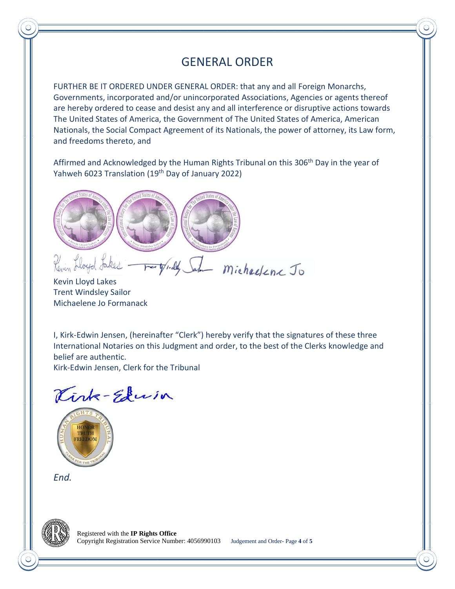## GENERAL ORDER

FURTHER BE IT ORDERED UNDER GENERAL ORDER: that any and all Foreign Monarchs, Governments, incorporated and/or unincorporated Associations, Agencies or agents thereof are hereby ordered to cease and desist any and all interference or disruptive actions towards The United States of America, the Government of The United States of America, American Nationals, the Social Compact Agreement of its Nationals, the power of attorney, its Law form, and freedoms thereto, and

Affirmed and Acknowledged by the Human Rights Tribunal on this 306<sup>th</sup> Day in the year of Yahweh 6023 Translation (19<sup>th</sup> Day of January 2022)



ray, de Sala michaelene Jo Kevin Lloyd Lakes

Trent Windsley Sailor Michaelene Jo Formanack

I, Kirk-Edwin Jensen, (hereinafter "Clerk") hereby verify that the signatures of these three International Notaries on this Judgment and order, to the best of the Clerks knowledge and belief are authentic.

Kirk-Edwin Jensen, Clerk for the Tribunal

Kirk-Edwin



*End.*